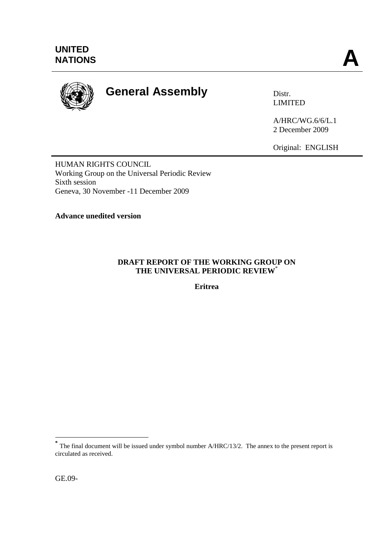

# **General Assembly** Distr.

LIMITED

A/HRC/WG.6/6/L.1 2 December 2009

Original: ENGLISH

HUMAN RIGHTS COUNCIL Working Group on the Universal Periodic Review Sixth session Geneva, 30 November -11 December 2009

**Advance unedited version** 

### **DRAFT REPORT OF THE WORKING GROUP ON THE UNIVERSAL PERIODIC REVIEW**\*

**Eritrea**

<sup>&</sup>lt;sup>\*</sup><br>
The final document will be issued under symbol number A/HRC/13/2. The annex to the present report is circulated as received.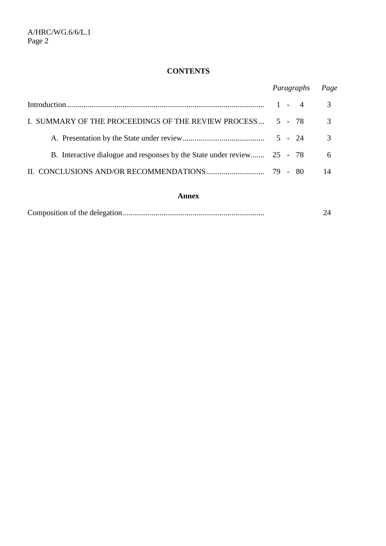# **CONTENTS**

|                                                                         | Paragraphs | Page          |
|-------------------------------------------------------------------------|------------|---------------|
|                                                                         | $1 - 4$    | 3             |
| I. SUMMARY OF THE PROCEEDINGS OF THE REVIEW PROCESS  5 - 78             |            | 3             |
|                                                                         |            | $\mathcal{R}$ |
| B. Interactive dialogue and responses by the State under review 25 - 78 |            | 6             |
|                                                                         |            | 14            |

#### **Annex**

|--|--|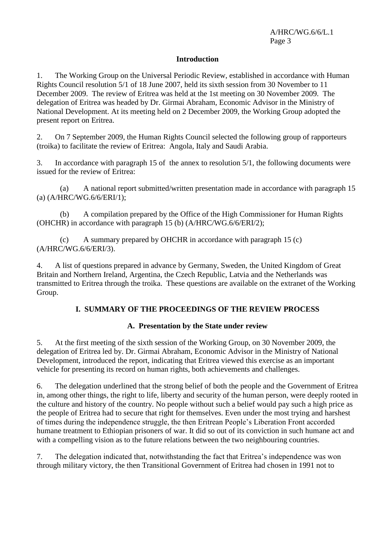#### **Introduction**

1. The Working Group on the Universal Periodic Review, established in accordance with Human Rights Council resolution 5/1 of 18 June 2007, held its sixth session from 30 November to 11 December 2009. The review of Eritrea was held at the 1st meeting on 30 November 2009. The delegation of Eritrea was headed by Dr. Girmai Abraham, Economic Advisor in the Ministry of National Development. At its meeting held on 2 December 2009, the Working Group adopted the present report on Eritrea.

2. On 7 September 2009, the Human Rights Council selected the following group of rapporteurs (troika) to facilitate the review of Eritrea: Angola, Italy and Saudi Arabia.

3. In accordance with paragraph 15 of the annex to resolution 5/1, the following documents were issued for the review of Eritrea:

(a) A national report submitted/written presentation made in accordance with paragraph 15 (a) (A/HRC/WG.6/6/ERI/1);

(b) A compilation prepared by the Office of the High Commissioner for Human Rights (OHCHR) in accordance with paragraph 15 (b) (A/HRC/WG.6/6/ERI/2);

(c) A summary prepared by OHCHR in accordance with paragraph 15 (c) (A/HRC/WG.6/6/ERI/3).

4. A list of questions prepared in advance by Germany, Sweden, the United Kingdom of Great Britain and Northern Ireland, Argentina, the Czech Republic, Latvia and the Netherlands was transmitted to Eritrea through the troika. These questions are available on the extranet of the Working Group.

#### **I. SUMMARY OF THE PROCEEDINGS OF THE REVIEW PROCESS**

#### **A. Presentation by the State under review**

5. At the first meeting of the sixth session of the Working Group, on 30 November 2009, the delegation of Eritrea led by. Dr. Girmai Abraham, Economic Advisor in the Ministry of National Development, introduced the report, indicating that Eritrea viewed this exercise as an important vehicle for presenting its record on human rights, both achievements and challenges.

6. The delegation underlined that the strong belief of both the people and the Government of Eritrea in, among other things, the right to life, liberty and security of the human person, were deeply rooted in the culture and history of the country. No people without such a belief would pay such a high price as the people of Eritrea had to secure that right for themselves. Even under the most trying and harshest of times during the independence struggle, the then Eritrean People's Liberation Front accorded humane treatment to Ethiopian prisoners of war. It did so out of its conviction in such humane act and with a compelling vision as to the future relations between the two neighbouring countries.

7. The delegation indicated that, notwithstanding the fact that Eritrea's independence was won through military victory, the then Transitional Government of Eritrea had chosen in 1991 not to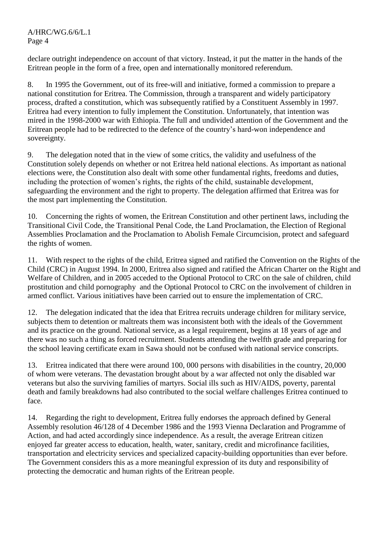declare outright independence on account of that victory. Instead, it put the matter in the hands of the Eritrean people in the form of a free, open and internationally monitored referendum.

8. In 1995 the Government, out of its free-will and initiative, formed a commission to prepare a national constitution for Eritrea. The Commission, through a transparent and widely participatory process, drafted a constitution, which was subsequently ratified by a Constituent Assembly in 1997. Eritrea had every intention to fully implement the Constitution. Unfortunately, that intention was mired in the 1998-2000 war with Ethiopia. The full and undivided attention of the Government and the Eritrean people had to be redirected to the defence of the country's hard-won independence and sovereignty.

9. The delegation noted that in the view of some critics, the validity and usefulness of the Constitution solely depends on whether or not Eritrea held national elections. As important as national elections were, the Constitution also dealt with some other fundamental rights, freedoms and duties, including the protection of women's rights, the rights of the child, sustainable development, safeguarding the environment and the right to property. The delegation affirmed that Eritrea was for the most part implementing the Constitution.

10. Concerning the rights of women, the Eritrean Constitution and other pertinent laws, including the Transitional Civil Code, the Transitional Penal Code, the Land Proclamation, the Election of Regional Assemblies Proclamation and the Proclamation to Abolish Female Circumcision, protect and safeguard the rights of women.

11. With respect to the rights of the child, Eritrea signed and ratified the Convention on the Rights of the Child (CRC) in August 1994. In 2000, Eritrea also signed and ratified the African Charter on the Right and Welfare of Children, and in 2005 acceded to the Optional Protocol to CRC on the sale of children, child prostitution and child pornography and the Optional Protocol to CRC on the involvement of children in armed conflict. Various initiatives have been carried out to ensure the implementation of CRC.

12. The delegation indicated that the idea that Eritrea recruits underage children for military service, subjects them to detention or maltreats them was inconsistent both with the ideals of the Government and its practice on the ground. National service, as a legal requirement, begins at 18 years of age and there was no such a thing as forced recruitment. Students attending the twelfth grade and preparing for the school leaving certificate exam in Sawa should not be confused with national service conscripts.

13. Eritrea indicated that there were around 100, 000 persons with disabilities in the country, 20,000 of whom were veterans. The devastation brought about by a war affected not only the disabled war veterans but also the surviving families of martyrs. Social ills such as HIV/AIDS, poverty, parental death and family breakdowns had also contributed to the social welfare challenges Eritrea continued to face.

14. Regarding the right to development, Eritrea fully endorses the approach defined by General Assembly resolution 46/128 of 4 December 1986 and the 1993 Vienna Declaration and Programme of Action, and had acted accordingly since independence. As a result, the average Eritrean citizen enjoyed far greater access to education, health, water, sanitary, credit and microfinance facilities, transportation and electricity services and specialized capacity-building opportunities than ever before. The Government considers this as a more meaningful expression of its duty and responsibility of protecting the democratic and human rights of the Eritrean people.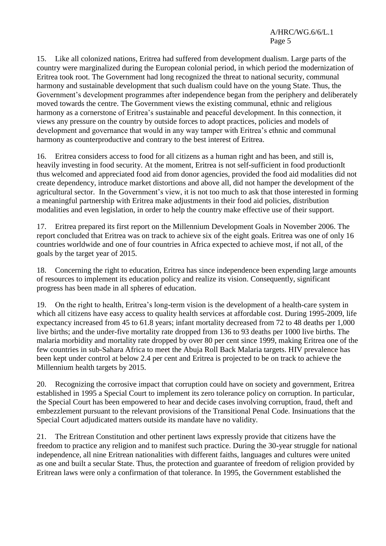15. Like all colonized nations, Eritrea had suffered from development dualism. Large parts of the country were marginalized during the European colonial period, in which period the modernization of Eritrea took root. The Government had long recognized the threat to national security, communal harmony and sustainable development that such dualism could have on the young State. Thus, the Government's development programmes after independence began from the periphery and deliberately moved towards the centre. The Government views the existing communal, ethnic and religious harmony as a cornerstone of Eritrea's sustainable and peaceful development. In this connection, it views any pressure on the country by outside forces to adopt practices, policies and models of development and governance that would in any way tamper with Eritrea's ethnic and communal harmony as counterproductive and contrary to the best interest of Eritrea.

16. Eritrea considers access to food for all citizens as a human right and has been, and still is, heavily investing in food security. At the moment, Eritrea is not self-sufficient in food productionIt thus welcomed and appreciated food aid from donor agencies, provided the food aid modalities did not create dependency, introduce market distortions and above all, did not hamper the development of the agricultural sector. In the Government's view, it is not too much to ask that those interested in forming a meaningful partnership with Eritrea make adjustments in their food aid policies, distribution modalities and even legislation, in order to help the country make effective use of their support.

17. Eritrea prepared its first report on the Millennium Development Goals in November 2006. The report concluded that Eritrea was on track to achieve six of the eight goals. Eritrea was one of only 16 countries worldwide and one of four countries in Africa expected to achieve most, if not all, of the goals by the target year of 2015.

18. Concerning the right to education, Eritrea has since independence been expending large amounts of resources to implement its education policy and realize its vision. Consequently, significant progress has been made in all spheres of education.

19. On the right to health, Eritrea's long-term vision is the development of a health-care system in which all citizens have easy access to quality health services at affordable cost. During 1995-2009, life expectancy increased from 45 to 61.8 years; infant mortality decreased from 72 to 48 deaths per 1,000 live births; and the under-five mortality rate dropped from 136 to 93 deaths per 1000 live births. The malaria morbidity and mortality rate dropped by over 80 per cent since 1999, making Eritrea one of the few countries in sub-Sahara Africa to meet the Abuja Roll Back Malaria targets. HIV prevalence has been kept under control at below 2.4 per cent and Eritrea is projected to be on track to achieve the Millennium health targets by 2015.

20. Recognizing the corrosive impact that corruption could have on society and government, Eritrea established in 1995 a Special Court to implement its zero tolerance policy on corruption. In particular, the Special Court has been empowered to hear and decide cases involving corruption, fraud, theft and embezzlement pursuant to the relevant provisions of the Transitional Penal Code. Insinuations that the Special Court adjudicated matters outside its mandate have no validity.

21. The Eritrean Constitution and other pertinent laws expressly provide that citizens have the freedom to practice any religion and to manifest such practice. During the 30-year struggle for national independence, all nine Eritrean nationalities with different faiths, languages and cultures were united as one and built a secular State. Thus, the protection and guarantee of freedom of religion provided by Eritrean laws were only a confirmation of that tolerance. In 1995, the Government established the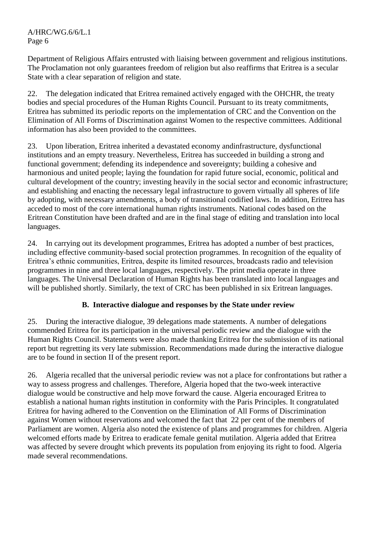Department of Religious Affairs entrusted with liaising between government and religious institutions. The Proclamation not only guarantees freedom of religion but also reaffirms that Eritrea is a secular State with a clear separation of religion and state.

22. The delegation indicated that Eritrea remained actively engaged with the OHCHR, the treaty bodies and special procedures of the Human Rights Council. Pursuant to its treaty commitments, Eritrea has submitted its periodic reports on the implementation of CRC and the Convention on the Elimination of All Forms of Discrimination against Women to the respective committees. Additional information has also been provided to the committees.

23. Upon liberation, Eritrea inherited a devastated economy andinfrastructure, dysfunctional institutions and an empty treasury. Nevertheless, Eritrea has succeeded in building a strong and functional government; defending its independence and sovereignty; building a cohesive and harmonious and united people; laying the foundation for rapid future social, economic, political and cultural development of the country; investing heavily in the social sector and economic infrastructure; and establishing and enacting the necessary legal infrastructure to govern virtually all spheres of life by adopting, with necessary amendments, a body of transitional codified laws. In addition, Eritrea has acceded to most of the core international human rights instruments. National codes based on the Eritrean Constitution have been drafted and are in the final stage of editing and translation into local languages.

24. In carrying out its development programmes, Eritrea has adopted a number of best practices, including effective community-based social protection programmes. In recognition of the equality of Eritrea's ethnic communities, Eritrea, despite its limited resources, broadcasts radio and television programmes in nine and three local languages, respectively. The print media operate in three languages. The Universal Declaration of Human Rights has been translated into local languages and will be published shortly. Similarly, the text of CRC has been published in six Eritrean languages.

#### **B. Interactive dialogue and responses by the State under review**

25. During the interactive dialogue, 39 delegations made statements. A number of delegations commended Eritrea for its participation in the universal periodic review and the dialogue with the Human Rights Council. Statements were also made thanking Eritrea for the submission of its national report but regretting its very late submission. Recommendations made during the interactive dialogue are to be found in section II of the present report.

26. Algeria recalled that the universal periodic review was not a place for confrontations but rather a way to assess progress and challenges. Therefore, Algeria hoped that the two-week interactive dialogue would be constructive and help move forward the cause. Algeria encouraged Eritrea to establish a national human rights institution in conformity with the Paris Principles. It congratulated Eritrea for having adhered to the Convention on the Elimination of All Forms of Discrimination against Women without reservations and welcomed the fact that 22 per cent of the members of Parliament are women. Algeria also noted the existence of plans and programmes for children. Algeria welcomed efforts made by Eritrea to eradicate female genital mutilation. Algeria added that Eritrea was affected by severe drought which prevents its population from enjoying its right to food. Algeria made several recommendations.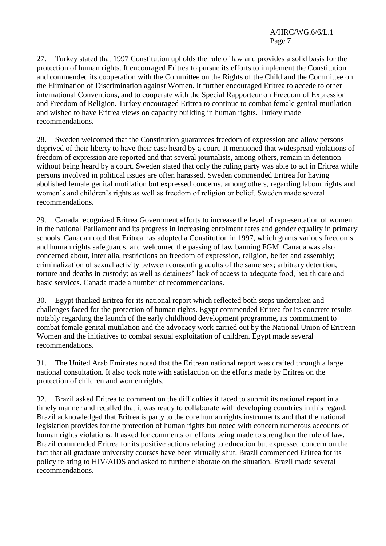27. Turkey stated that 1997 Constitution upholds the rule of law and provides a solid basis for the protection of human rights. It encouraged Eritrea to pursue its efforts to implement the Constitution and commended its cooperation with the Committee on the Rights of the Child and the Committee on the Elimination of Discrimination against Women. It further encouraged Eritrea to accede to other international Conventions, and to cooperate with the Special Rapporteur on Freedom of Expression and Freedom of Religion. Turkey encouraged Eritrea to continue to combat female genital mutilation and wished to have Eritrea views on capacity building in human rights. Turkey made recommendations.

28. Sweden welcomed that the Constitution guarantees freedom of expression and allow persons deprived of their liberty to have their case heard by a court. It mentioned that widespread violations of freedom of expression are reported and that several journalists, among others, remain in detention without being heard by a court. Sweden stated that only the ruling party was able to act in Eritrea while persons involved in political issues are often harassed. Sweden commended Eritrea for having abolished female genital mutilation but expressed concerns, among others, regarding labour rights and women's and children's rights as well as freedom of religion or belief. Sweden made several recommendations.

29. Canada recognized Eritrea Government efforts to increase the level of representation of women in the national Parliament and its progress in increasing enrolment rates and gender equality in primary schools. Canada noted that Eritrea has adopted a Constitution in 1997, which grants various freedoms and human rights safeguards, and welcomed the passing of law banning FGM. Canada was also concerned about, inter alia, restrictions on freedom of expression, religion, belief and assembly; criminalization of sexual activity between consenting adults of the same sex; arbitrary detention, torture and deaths in custody; as well as detainees' lack of access to adequate food, health care and basic services. Canada made a number of recommendations.

30. Egypt thanked Eritrea for its national report which reflected both steps undertaken and challenges faced for the protection of human rights. Egypt commended Eritrea for its concrete results notably regarding the launch of the early childhood development programme, its commitment to combat female genital mutilation and the advocacy work carried out by the National Union of Eritrean Women and the initiatives to combat sexual exploitation of children. Egypt made several recommendations.

31. The United Arab Emirates noted that the Eritrean national report was drafted through a large national consultation. It also took note with satisfaction on the efforts made by Eritrea on the protection of children and women rights.

32. Brazil asked Eritrea to comment on the difficulties it faced to submit its national report in a timely manner and recalled that it was ready to collaborate with developing countries in this regard. Brazil acknowledged that Eritrea is party to the core human rights instruments and that the national legislation provides for the protection of human rights but noted with concern numerous accounts of human rights violations. It asked for comments on efforts being made to strengthen the rule of law. Brazil commended Eritrea for its positive actions relating to education but expressed concern on the fact that all graduate university courses have been virtually shut. Brazil commended Eritrea for its policy relating to HIV/AIDS and asked to further elaborate on the situation. Brazil made several recommendations.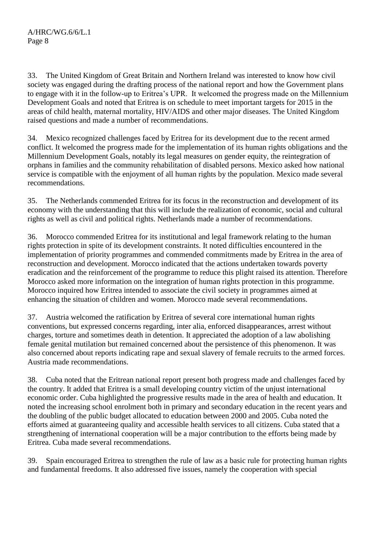33. The United Kingdom of Great Britain and Northern Ireland was interested to know how civil society was engaged during the drafting process of the national report and how the Government plans to engage with it in the follow-up to Eritrea's UPR. It welcomed the progress made on the Millennium Development Goals and noted that Eritrea is on schedule to meet important targets for 2015 in the areas of child health, maternal mortality, HIV/AIDS and other major diseases. The United Kingdom raised questions and made a number of recommendations.

34. Mexico recognized challenges faced by Eritrea for its development due to the recent armed conflict. It welcomed the progress made for the implementation of its human rights obligations and the Millennium Development Goals, notably its legal measures on gender equity, the reintegration of orphans in families and the community rehabilitation of disabled persons. Mexico asked how national service is compatible with the enjoyment of all human rights by the population. Mexico made several recommendations.

35. The Netherlands commended Eritrea for its focus in the reconstruction and development of its economy with the understanding that this will include the realization of economic, social and cultural rights as well as civil and political rights. Netherlands made a number of recommendations.

36. Morocco commended Eritrea for its institutional and legal framework relating to the human rights protection in spite of its development constraints. It noted difficulties encountered in the implementation of priority programmes and commended commitments made by Eritrea in the area of reconstruction and development. Morocco indicated that the actions undertaken towards poverty eradication and the reinforcement of the programme to reduce this plight raised its attention. Therefore Morocco asked more information on the integration of human rights protection in this programme. Morocco inquired how Eritrea intended to associate the civil society in programmes aimed at enhancing the situation of children and women. Morocco made several recommendations.

37. Austria welcomed the ratification by Eritrea of several core international human rights conventions, but expressed concerns regarding, inter alia, enforced disappearances, arrest without charges, torture and sometimes death in detention. It appreciated the adoption of a law abolishing female genital mutilation but remained concerned about the persistence of this phenomenon. It was also concerned about reports indicating rape and sexual slavery of female recruits to the armed forces. Austria made recommendations.

38. Cuba noted that the Eritrean national report present both progress made and challenges faced by the country. It added that Eritrea is a small developing country victim of the unjust international economic order. Cuba highlighted the progressive results made in the area of health and education. It noted the increasing school enrolment both in primary and secondary education in the recent years and the doubling of the public budget allocated to education between 2000 and 2005. Cuba noted the efforts aimed at guaranteeing quality and accessible health services to all citizens. Cuba stated that a strengthening of international cooperation will be a major contribution to the efforts being made by Eritrea. Cuba made several recommendations.

39. Spain encouraged Eritrea to strengthen the rule of law as a basic rule for protecting human rights and fundamental freedoms. It also addressed five issues, namely the cooperation with special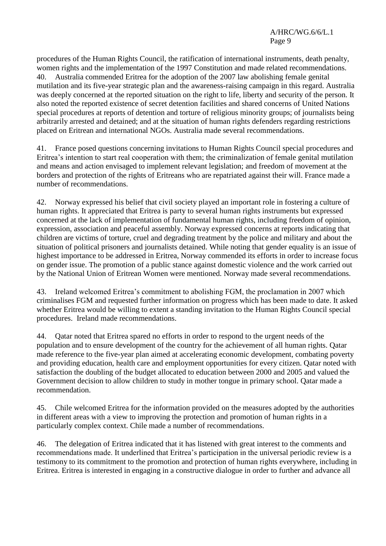procedures of the Human Rights Council, the ratification of international instruments, death penalty, women rights and the implementation of the 1997 Constitution and made related recommendations. 40. Australia commended Eritrea for the adoption of the 2007 law abolishing female genital mutilation and its five-year strategic plan and the awareness-raising campaign in this regard. Australia was deeply concerned at the reported situation on the right to life, liberty and security of the person. It also noted the reported existence of secret detention facilities and shared concerns of United Nations special procedures at reports of detention and torture of religious minority groups; of journalists being arbitrarily arrested and detained; and at the situation of human rights defenders regarding restrictions placed on Eritrean and international NGOs. Australia made several recommendations.

41. France posed questions concerning invitations to Human Rights Council special procedures and Eritrea's intention to start real cooperation with them; the criminalization of female genital mutilation and means and action envisaged to implement relevant legislation; and freedom of movement at the borders and protection of the rights of Eritreans who are repatriated against their will. France made a number of recommendations.

42. Norway expressed his belief that civil society played an important role in fostering a culture of human rights. It appreciated that Eritrea is party to several human rights instruments but expressed concerned at the lack of implementation of fundamental human rights, including freedom of opinion, expression, association and peaceful assembly. Norway expressed concerns at reports indicating that children are victims of torture, cruel and degrading treatment by the police and military and about the situation of political prisoners and journalists detained. While noting that gender equality is an issue of highest importance to be addressed in Eritrea, Norway commended its efforts in order to increase focus on gender issue. The promotion of a public stance against domestic violence and the work carried out by the National Union of Eritrean Women were mentioned. Norway made several recommendations.

43. Ireland welcomed Eritrea's commitment to abolishing FGM, the proclamation in 2007 which criminalises FGM and requested further information on progress which has been made to date. It asked whether Eritrea would be willing to extent a standing invitation to the Human Rights Council special procedures. Ireland made recommendations.

44. Qatar noted that Eritrea spared no efforts in order to respond to the urgent needs of the population and to ensure development of the country for the achievement of all human rights. Qatar made reference to the five-year plan aimed at accelerating economic development, combating poverty and providing education, health care and employment opportunities for every citizen. Qatar noted with satisfaction the doubling of the budget allocated to education between 2000 and 2005 and valued the Government decision to allow children to study in mother tongue in primary school. Qatar made a recommendation.

45. Chile welcomed Eritrea for the information provided on the measures adopted by the authorities in different areas with a view to improving the protection and promotion of human rights in a particularly complex context. Chile made a number of recommendations.

46. The delegation of Eritrea indicated that it has listened with great interest to the comments and recommendations made. It underlined that Eritrea's participation in the universal periodic review is a testimony to its commitment to the promotion and protection of human rights everywhere, including in Eritrea. Eritrea is interested in engaging in a constructive dialogue in order to further and advance all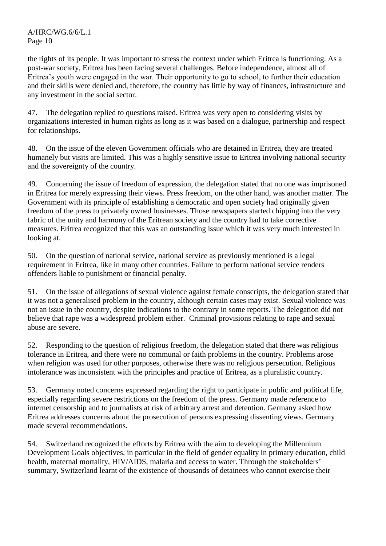the rights of its people. It was important to stress the context under which Eritrea is functioning. As a post-war society, Eritrea has been facing several challenges. Before independence, almost all of Eritrea's youth were engaged in the war. Their opportunity to go to school, to further their education and their skills were denied and, therefore, the country has little by way of finances, infrastructure and any investment in the social sector.

47. The delegation replied to questions raised. Eritrea was very open to considering visits by organizations interested in human rights as long as it was based on a dialogue, partnership and respect for relationships.

48. On the issue of the eleven Government officials who are detained in Eritrea, they are treated humanely but visits are limited. This was a highly sensitive issue to Eritrea involving national security and the sovereignty of the country.

49. Concerning the issue of freedom of expression, the delegation stated that no one was imprisoned in Eritrea for merely expressing their views. Press freedom, on the other hand, was another matter. The Government with its principle of establishing a democratic and open society had originally given freedom of the press to privately owned businesses. Those newspapers started chipping into the very fabric of the unity and harmony of the Eritrean society and the country had to take corrective measures. Eritrea recognized that this was an outstanding issue which it was very much interested in looking at.

50. On the question of national service, national service as previously mentioned is a legal requirement in Eritrea, like in many other countries. Failure to perform national service renders offenders liable to punishment or financial penalty.

51. On the issue of allegations of sexual violence against female conscripts, the delegation stated that it was not a generalised problem in the country, although certain cases may exist. Sexual violence was not an issue in the country, despite indications to the contrary in some reports. The delegation did not believe that rape was a widespread problem either. Criminal provisions relating to rape and sexual abuse are severe.

52. Responding to the question of religious freedom, the delegation stated that there was religious tolerance in Eritrea, and there were no communal or faith problems in the country. Problems arose when religion was used for other purposes, otherwise there was no religious persecution. Religious intolerance was inconsistent with the principles and practice of Eritrea, as a pluralistic country.

53. Germany noted concerns expressed regarding the right to participate in public and political life, especially regarding severe restrictions on the freedom of the press. Germany made reference to internet censorship and to journalists at risk of arbitrary arrest and detention. Germany asked how Eritrea addresses concerns about the prosecution of persons expressing dissenting views. Germany made several recommendations.

54. Switzerland recognized the efforts by Eritrea with the aim to developing the Millennium Development Goals objectives, in particular in the field of gender equality in primary education, child health, maternal mortality, HIV/AIDS, malaria and access to water. Through the stakeholders' summary, Switzerland learnt of the existence of thousands of detainees who cannot exercise their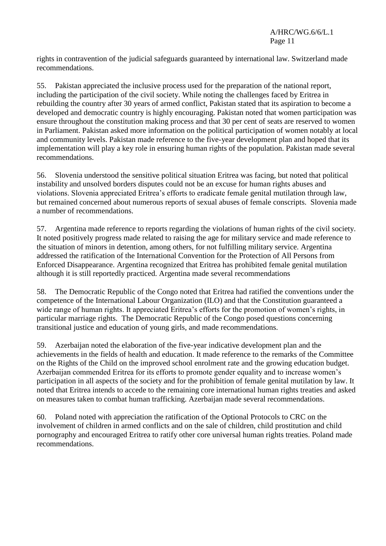rights in contravention of the judicial safeguards guaranteed by international law. Switzerland made recommendations.

55. Pakistan appreciated the inclusive process used for the preparation of the national report, including the participation of the civil society. While noting the challenges faced by Eritrea in rebuilding the country after 30 years of armed conflict, Pakistan stated that its aspiration to become a developed and democratic country is highly encouraging. Pakistan noted that women participation was ensure throughout the constitution making process and that 30 per cent of seats are reserved to women in Parliament. Pakistan asked more information on the political participation of women notably at local and community levels. Pakistan made reference to the five-year development plan and hoped that its implementation will play a key role in ensuring human rights of the population. Pakistan made several recommendations.

56. Slovenia understood the sensitive political situation Eritrea was facing, but noted that political instability and unsolved borders disputes could not be an excuse for human rights abuses and violations. Slovenia appreciated Eritrea's efforts to eradicate female genital mutilation through law, but remained concerned about numerous reports of sexual abuses of female conscripts. Slovenia made a number of recommendations.

57. Argentina made reference to reports regarding the violations of human rights of the civil society. It noted positively progress made related to raising the age for military service and made reference to the situation of minors in detention, among others, for not fulfilling military service. Argentina addressed the ratification of the International Convention for the Protection of All Persons from Enforced Disappearance. Argentina recognized that Eritrea has prohibited female genital mutilation although it is still reportedly practiced. Argentina made several recommendations

58. The Democratic Republic of the Congo noted that Eritrea had ratified the conventions under the competence of the International Labour Organization (ILO) and that the Constitution guaranteed a wide range of human rights. It appreciated Eritrea's efforts for the promotion of women's rights, in particular marriage rights. The Democratic Republic of the Congo posed questions concerning transitional justice and education of young girls, and made recommendations.

59. Azerbaijan noted the elaboration of the five-year indicative development plan and the achievements in the fields of health and education. It made reference to the remarks of the Committee on the Rights of the Child on the improved school enrolment rate and the growing education budget. Azerbaijan commended Eritrea for its efforts to promote gender equality and to increase women's participation in all aspects of the society and for the prohibition of female genital mutilation by law. It noted that Eritrea intends to accede to the remaining core international human rights treaties and asked on measures taken to combat human trafficking. Azerbaijan made several recommendations.

60. Poland noted with appreciation the ratification of the Optional Protocols to CRC on the involvement of children in armed conflicts and on the sale of children, child prostitution and child pornography and encouraged Eritrea to ratify other core universal human rights treaties. Poland made recommendations.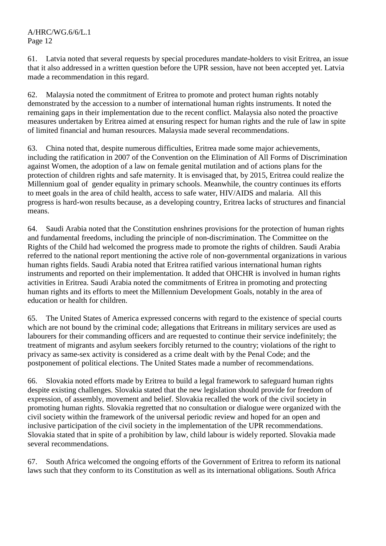61. Latvia noted that several requests by special procedures mandate-holders to visit Eritrea, an issue that it also addressed in a written question before the UPR session, have not been accepted yet. Latvia made a recommendation in this regard.

62. Malaysia noted the commitment of Eritrea to promote and protect human rights notably demonstrated by the accession to a number of international human rights instruments. It noted the remaining gaps in their implementation due to the recent conflict. Malaysia also noted the proactive measures undertaken by Eritrea aimed at ensuring respect for human rights and the rule of law in spite of limited financial and human resources. Malaysia made several recommendations.

63. China noted that, despite numerous difficulties, Eritrea made some major achievements, including the ratification in 2007 of the Convention on the Elimination of All Forms of Discrimination against Women, the adoption of a law on female genital mutilation and of actions plans for the protection of children rights and safe maternity. It is envisaged that, by 2015, Eritrea could realize the Millennium goal of gender equality in primary schools. Meanwhile, the country continues its efforts to meet goals in the area of child health, access to safe water, HIV/AIDS and malaria. All this progress is hard-won results because, as a developing country, Eritrea lacks of structures and financial means.

64. Saudi Arabia noted that the Constitution enshrines provisions for the protection of human rights and fundamental freedoms, including the principle of non-discrimination. The Committee on the Rights of the Child had welcomed the progress made to promote the rights of children. Saudi Arabia referred to the national report mentioning the active role of non-governmental organizations in various human rights fields. Saudi Arabia noted that Eritrea ratified various international human rights instruments and reported on their implementation. It added that OHCHR is involved in human rights activities in Eritrea. Saudi Arabia noted the commitments of Eritrea in promoting and protecting human rights and its efforts to meet the Millennium Development Goals, notably in the area of education or health for children.

65. The United States of America expressed concerns with regard to the existence of special courts which are not bound by the criminal code; allegations that Eritreans in military services are used as labourers for their commanding officers and are requested to continue their service indefinitely; the treatment of migrants and asylum seekers forcibly returned to the country; violations of the right to privacy as same-sex activity is considered as a crime dealt with by the Penal Code; and the postponement of political elections. The United States made a number of recommendations.

66. Slovakia noted efforts made by Eritrea to build a legal framework to safeguard human rights despite existing challenges. Slovakia stated that the new legislation should provide for freedom of expression, of assembly, movement and belief. Slovakia recalled the work of the civil society in promoting human rights. Slovakia regretted that no consultation or dialogue were organized with the civil society within the framework of the universal periodic review and hoped for an open and inclusive participation of the civil society in the implementation of the UPR recommendations. Slovakia stated that in spite of a prohibition by law, child labour is widely reported. Slovakia made several recommendations.

67. South Africa welcomed the ongoing efforts of the Government of Eritrea to reform its national laws such that they conform to its Constitution as well as its international obligations. South Africa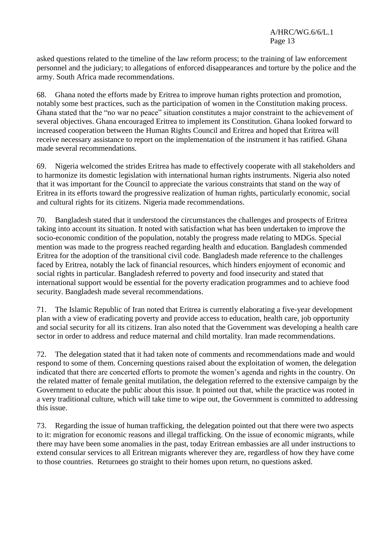asked questions related to the timeline of the law reform process; to the training of law enforcement personnel and the judiciary; to allegations of enforced disappearances and torture by the police and the army. South Africa made recommendations.

68. Ghana noted the efforts made by Eritrea to improve human rights protection and promotion, notably some best practices, such as the participation of women in the Constitution making process. Ghana stated that the "no war no peace" situation constitutes a major constraint to the achievement of several objectives. Ghana encouraged Eritrea to implement its Constitution. Ghana looked forward to increased cooperation between the Human Rights Council and Eritrea and hoped that Eritrea will receive necessary assistance to report on the implementation of the instrument it has ratified. Ghana made several recommendations.

69. Nigeria welcomed the strides Eritrea has made to effectively cooperate with all stakeholders and to harmonize its domestic legislation with international human rights instruments. Nigeria also noted that it was important for the Council to appreciate the various constraints that stand on the way of Eritrea in its efforts toward the progressive realization of human rights, particularly economic, social and cultural rights for its citizens. Nigeria made recommendations.

70. Bangladesh stated that it understood the circumstances the challenges and prospects of Eritrea taking into account its situation. It noted with satisfaction what has been undertaken to improve the socio-economic condition of the population, notably the progress made relating to MDGs. Special mention was made to the progress reached regarding health and education. Bangladesh commended Eritrea for the adoption of the transitional civil code. Bangladesh made reference to the challenges faced by Eritrea, notably the lack of financial resources, which hinders enjoyment of economic and social rights in particular. Bangladesh referred to poverty and food insecurity and stated that international support would be essential for the poverty eradication programmes and to achieve food security. Bangladesh made several recommendations.

71. The Islamic Republic of Iran noted that Eritrea is currently elaborating a five-year development plan with a view of eradicating poverty and provide access to education, health care, job opportunity and social security for all its citizens. Iran also noted that the Government was developing a health care sector in order to address and reduce maternal and child mortality. Iran made recommendations.

72. The delegation stated that it had taken note of comments and recommendations made and would respond to some of them. Concerning questions raised about the exploitation of women, the delegation indicated that there are concerted efforts to promote the women's agenda and rights in the country. On the related matter of female genital mutilation, the delegation referred to the extensive campaign by the Government to educate the public about this issue. It pointed out that, while the practice was rooted in a very traditional culture, which will take time to wipe out, the Government is committed to addressing this issue.

73. Regarding the issue of human trafficking, the delegation pointed out that there were two aspects to it: migration for economic reasons and illegal trafficking. On the issue of economic migrants, while there may have been some anomalies in the past, today Eritrean embassies are all under instructions to extend consular services to all Eritrean migrants wherever they are, regardless of how they have come to those countries. Returnees go straight to their homes upon return, no questions asked.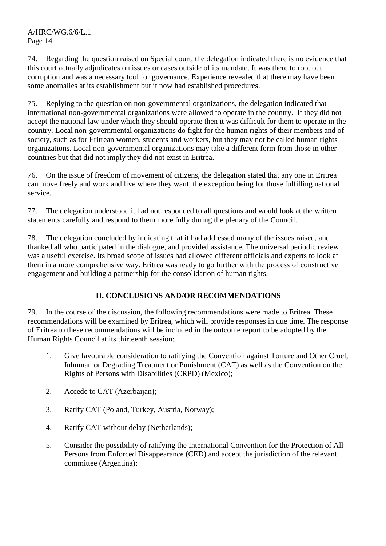74. Regarding the question raised on Special court, the delegation indicated there is no evidence that this court actually adjudicates on issues or cases outside of its mandate. It was there to root out corruption and was a necessary tool for governance. Experience revealed that there may have been some anomalies at its establishment but it now had established procedures.

75. Replying to the question on non-governmental organizations, the delegation indicated that international non-governmental organizations were allowed to operate in the country. If they did not accept the national law under which they should operate then it was difficult for them to operate in the country. Local non-governmental organizations do fight for the human rights of their members and of society, such as for Eritrean women, students and workers, but they may not be called human rights organizations. Local non-governmental organizations may take a different form from those in other countries but that did not imply they did not exist in Eritrea.

76. On the issue of freedom of movement of citizens, the delegation stated that any one in Eritrea can move freely and work and live where they want, the exception being for those fulfilling national service.

77. The delegation understood it had not responded to all questions and would look at the written statements carefully and respond to them more fully during the plenary of the Council.

78. The delegation concluded by indicating that it had addressed many of the issues raised, and thanked all who participated in the dialogue, and provided assistance. The universal periodic review was a useful exercise. Its broad scope of issues had allowed different officials and experts to look at them in a more comprehensive way. Eritrea was ready to go further with the process of constructive engagement and building a partnership for the consolidation of human rights.

# **II. CONCLUSIONS AND/OR RECOMMENDATIONS**

79. In the course of the discussion, the following recommendations were made to Eritrea. These recommendations will be examined by Eritrea, which will provide responses in due time. The response of Eritrea to these recommendations will be included in the outcome report to be adopted by the Human Rights Council at its thirteenth session:

- 1. Give favourable consideration to ratifying the Convention against Torture and Other Cruel, Inhuman or Degrading Treatment or Punishment (CAT) as well as the Convention on the Rights of Persons with Disabilities (CRPD) (Mexico);
- 2. Accede to CAT (Azerbaijan);
- 3. Ratify CAT (Poland, Turkey, Austria, Norway);
- 4. Ratify CAT without delay (Netherlands);
- 5. Consider the possibility of ratifying the International Convention for the Protection of All Persons from Enforced Disappearance (CED) and accept the jurisdiction of the relevant committee (Argentina);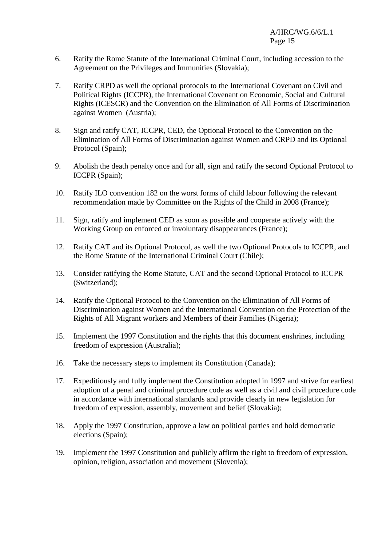- 6. Ratify the Rome Statute of the International Criminal Court, including accession to the Agreement on the Privileges and Immunities (Slovakia);
- 7. Ratify CRPD as well the optional protocols to the International Covenant on Civil and Political Rights (ICCPR), the International Covenant on Economic, Social and Cultural Rights (ICESCR) and the Convention on the Elimination of All Forms of Discrimination against Women (Austria);
- 8. Sign and ratify CAT, ICCPR, CED, the Optional Protocol to the Convention on the Elimination of All Forms of Discrimination against Women and CRPD and its Optional Protocol (Spain);
- 9. Abolish the death penalty once and for all, sign and ratify the second Optional Protocol to ICCPR (Spain);
- 10. Ratify ILO convention 182 on the worst forms of child labour following the relevant recommendation made by Committee on the Rights of the Child in 2008 (France);
- 11. Sign, ratify and implement CED as soon as possible and cooperate actively with the Working Group on enforced or involuntary disappearances (France);
- 12. Ratify CAT and its Optional Protocol, as well the two Optional Protocols to ICCPR, and the Rome Statute of the International Criminal Court (Chile);
- 13. Consider ratifying the Rome Statute, CAT and the second Optional Protocol to ICCPR (Switzerland);
- 14. Ratify the Optional Protocol to the Convention on the Elimination of All Forms of Discrimination against Women and the International Convention on the Protection of the Rights of All Migrant workers and Members of their Families (Nigeria);
- 15. Implement the 1997 Constitution and the rights that this document enshrines, including freedom of expression (Australia);
- 16. Take the necessary steps to implement its Constitution (Canada);
- 17. Expeditiously and fully implement the Constitution adopted in 1997 and strive for earliest adoption of a penal and criminal procedure code as well as a civil and civil procedure code in accordance with international standards and provide clearly in new legislation for freedom of expression, assembly, movement and belief (Slovakia);
- 18. Apply the 1997 Constitution, approve a law on political parties and hold democratic elections (Spain);
- 19. Implement the 1997 Constitution and publicly affirm the right to freedom of expression, opinion, religion, association and movement (Slovenia);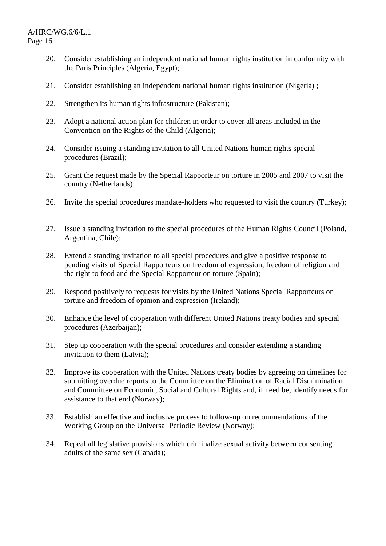- 20. Consider establishing an independent national human rights institution in conformity with the Paris Principles (Algeria, Egypt);
- 21. Consider establishing an independent national human rights institution (Nigeria) ;
- 22. Strengthen its human rights infrastructure (Pakistan);
- 23. Adopt a national action plan for children in order to cover all areas included in the Convention on the Rights of the Child (Algeria);
- 24. Consider issuing a standing invitation to all United Nations human rights special procedures (Brazil);
- 25. Grant the request made by the Special Rapporteur on torture in 2005 and 2007 to visit the country (Netherlands);
- 26. Invite the special procedures mandate-holders who requested to visit the country (Turkey);
- 27. Issue a standing invitation to the special procedures of the Human Rights Council (Poland, Argentina, Chile);
- 28. Extend a standing invitation to all special procedures and give a positive response to pending visits of Special Rapporteurs on freedom of expression, freedom of religion and the right to food and the Special Rapporteur on torture (Spain);
- 29. Respond positively to requests for visits by the United Nations Special Rapporteurs on torture and freedom of opinion and expression (Ireland);
- 30. Enhance the level of cooperation with different United Nations treaty bodies and special procedures (Azerbaijan);
- 31. Step up cooperation with the special procedures and consider extending a standing invitation to them (Latvia);
- 32. Improve its cooperation with the United Nations treaty bodies by agreeing on timelines for submitting overdue reports to the Committee on the Elimination of Racial Discrimination and Committee on Economic, Social and Cultural Rights and, if need be, identify needs for assistance to that end (Norway);
- 33. Establish an effective and inclusive process to follow-up on recommendations of the Working Group on the Universal Periodic Review (Norway);
- 34. Repeal all legislative provisions which criminalize sexual activity between consenting adults of the same sex (Canada);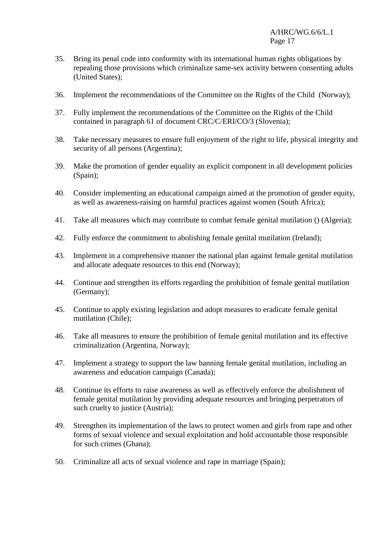- 35. Bring its penal code into conformity with its international human rights obligations by repealing those provisions which criminalize same-sex activity between consenting adults (United States);
- 36. Implement the recommendations of the Committee on the Rights of the Child (Norway);
- 37. Fully implement the recommendations of the Committee on the Rights of the Child contained in paragraph 61 of document CRC/C/ERI/CO/3 (Slovenia);
- 38. Take necessary measures to ensure full enjoyment of the right to life, physical integrity and security of all persons (Argentina);
- 39. Make the promotion of gender equality an explicit component in all development policies (Spain);
- 40. Consider implementing an educational campaign aimed at the promotion of gender equity, as well as awareness-raising on harmful practices against women (South Africa);
- 41. Take all measures which may contribute to combat female genital mutilation () (Algeria);
- 42. Fully enforce the commitment to abolishing female genital mutilation (Ireland);
- 43. Implement in a comprehensive manner the national plan against female genital mutilation and allocate adequate resources to this end (Norway);
- 44. Continue and strengthen its efforts regarding the prohibition of female genital mutilation (Germany);
- 45. Continue to apply existing legislation and adopt measures to eradicate female genital mutilation (Chile);
- 46. Take all measures to ensure the prohibition of female genital mutilation and its effective criminalization (Argentina, Norway);
- 47. Implement a strategy to support the law banning female genital mutilation, including an awareness and education campaign (Canada);
- 48. Continue its efforts to raise awareness as well as effectively enforce the abolishment of female genital mutilation by providing adequate resources and bringing perpetrators of such cruelty to justice (Austria):
- 49. Strengthen its implementation of the laws to protect women and girls from rape and other forms of sexual violence and sexual exploitation and hold accountable those responsible for such crimes (Ghana);
- 50. Criminalize all acts of sexual violence and rape in marriage (Spain);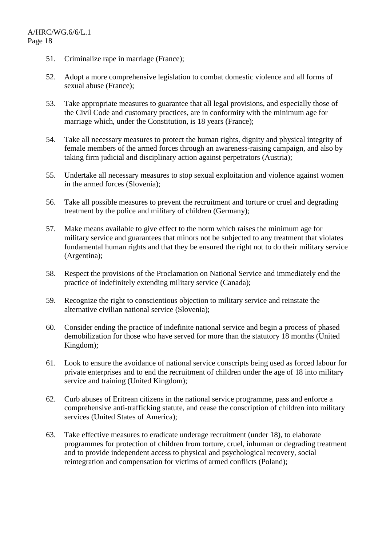- 51. Criminalize rape in marriage (France);
- 52. Adopt a more comprehensive legislation to combat domestic violence and all forms of sexual abuse (France);
- 53. Take appropriate measures to guarantee that all legal provisions, and especially those of the Civil Code and customary practices, are in conformity with the minimum age for marriage which, under the Constitution, is 18 years (France);
- 54. Take all necessary measures to protect the human rights, dignity and physical integrity of female members of the armed forces through an awareness-raising campaign, and also by taking firm judicial and disciplinary action against perpetrators (Austria);
- 55. Undertake all necessary measures to stop sexual exploitation and violence against women in the armed forces (Slovenia);
- 56. Take all possible measures to prevent the recruitment and torture or cruel and degrading treatment by the police and military of children (Germany);
- 57. Make means available to give effect to the norm which raises the minimum age for military service and guarantees that minors not be subjected to any treatment that violates fundamental human rights and that they be ensured the right not to do their military service (Argentina);
- 58. Respect the provisions of the Proclamation on National Service and immediately end the practice of indefinitely extending military service (Canada);
- 59. Recognize the right to conscientious objection to military service and reinstate the alternative civilian national service (Slovenia);
- 60. Consider ending the practice of indefinite national service and begin a process of phased demobilization for those who have served for more than the statutory 18 months (United Kingdom);
- 61. Look to ensure the avoidance of national service conscripts being used as forced labour for private enterprises and to end the recruitment of children under the age of 18 into military service and training (United Kingdom);
- 62. Curb abuses of Eritrean citizens in the national service programme, pass and enforce a comprehensive anti-trafficking statute, and cease the conscription of children into military services (United States of America);
- 63. Take effective measures to eradicate underage recruitment (under 18), to elaborate programmes for protection of children from torture, cruel, inhuman or degrading treatment and to provide independent access to physical and psychological recovery, social reintegration and compensation for victims of armed conflicts (Poland);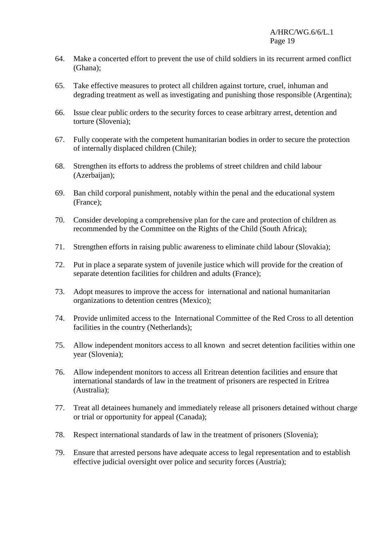- 64. Make a concerted effort to prevent the use of child soldiers in its recurrent armed conflict (Ghana);
- 65. Take effective measures to protect all children against torture, cruel, inhuman and degrading treatment as well as investigating and punishing those responsible (Argentina);
- 66. Issue clear public orders to the security forces to cease arbitrary arrest, detention and torture (Slovenia);
- 67. Fully cooperate with the competent humanitarian bodies in order to secure the protection of internally displaced children (Chile);
- 68. Strengthen its efforts to address the problems of street children and child labour (Azerbaijan);
- 69. Ban child corporal punishment, notably within the penal and the educational system (France);
- 70. Consider developing a comprehensive plan for the care and protection of children as recommended by the Committee on the Rights of the Child (South Africa);
- 71. Strengthen efforts in raising public awareness to eliminate child labour (Slovakia);
- 72. Put in place a separate system of juvenile justice which will provide for the creation of separate detention facilities for children and adults (France);
- 73. Adopt measures to improve the access for international and national humanitarian organizations to detention centres (Mexico);
- 74. Provide unlimited access to the International Committee of the Red Cross to all detention facilities in the country (Netherlands);
- 75. Allow independent monitors access to all known and secret detention facilities within one year (Slovenia);
- 76. Allow independent monitors to access all Eritrean detention facilities and ensure that international standards of law in the treatment of prisoners are respected in Eritrea (Australia);
- 77. Treat all detainees humanely and immediately release all prisoners detained without charge or trial or opportunity for appeal (Canada);
- 78. Respect international standards of law in the treatment of prisoners (Slovenia);
- 79. Ensure that arrested persons have adequate access to legal representation and to establish effective judicial oversight over police and security forces (Austria);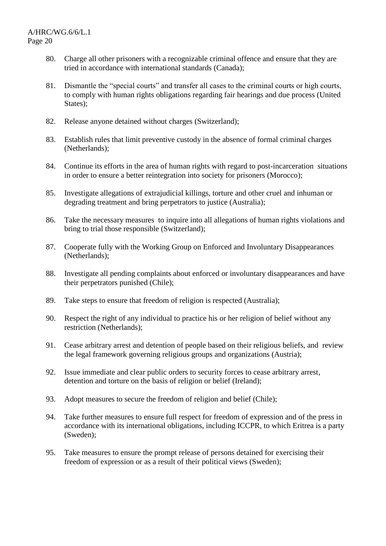- 80. Charge all other prisoners with a recognizable criminal offence and ensure that they are tried in accordance with international standards (Canada);
- 81. Dismantle the "special courts" and transfer all cases to the criminal courts or high courts, to comply with human rights obligations regarding fair hearings and due process (United States);
- 82. Release anyone detained without charges (Switzerland);
- 83. Establish rules that limit preventive custody in the absence of formal criminal charges (Netherlands);
- 84. Continue its efforts in the area of human rights with regard to post-incarceration situations in order to ensure a better reintegration into society for prisoners (Morocco);
- 85. Investigate allegations of extrajudicial killings, torture and other cruel and inhuman or degrading treatment and bring perpetrators to justice (Australia);
- 86. Take the necessary measures to inquire into all allegations of human rights violations and bring to trial those responsible (Switzerland);
- 87. Cooperate fully with the Working Group on Enforced and Involuntary Disappearances (Netherlands);
- 88. Investigate all pending complaints about enforced or involuntary disappearances and have their perpetrators punished (Chile);
- 89. Take steps to ensure that freedom of religion is respected (Australia);
- 90. Respect the right of any individual to practice his or her religion of belief without any restriction (Netherlands);
- 91. Cease arbitrary arrest and detention of people based on their religious beliefs, and review the legal framework governing religious groups and organizations (Austria);
- 92. Issue immediate and clear public orders to security forces to cease arbitrary arrest, detention and torture on the basis of religion or belief (Ireland);
- 93. Adopt measures to secure the freedom of religion and belief (Chile);
- 94. Take further measures to ensure full respect for freedom of expression and of the press in accordance with its international obligations, including ICCPR, to which Eritrea is a party (Sweden);
- 95. Take measures to ensure the prompt release of persons detained for exercising their freedom of expression or as a result of their political views (Sweden);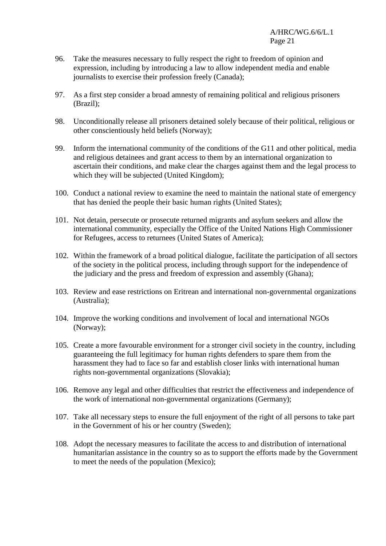- 96. Take the measures necessary to fully respect the right to freedom of opinion and expression, including by introducing a law to allow independent media and enable journalists to exercise their profession freely (Canada);
- 97. As a first step consider a broad amnesty of remaining political and religious prisoners (Brazil);
- 98. Unconditionally release all prisoners detained solely because of their political, religious or other conscientiously held beliefs (Norway);
- 99. Inform the international community of the conditions of the G11 and other political, media and religious detainees and grant access to them by an international organization to ascertain their conditions, and make clear the charges against them and the legal process to which they will be subjected (United Kingdom);
- 100. Conduct a national review to examine the need to maintain the national state of emergency that has denied the people their basic human rights (United States);
- 101. Not detain, persecute or prosecute returned migrants and asylum seekers and allow the international community, especially the Office of the United Nations High Commissioner for Refugees, access to returnees (United States of America);
- 102. Within the framework of a broad political dialogue, facilitate the participation of all sectors of the society in the political process, including through support for the independence of the judiciary and the press and freedom of expression and assembly (Ghana);
- 103. Review and ease restrictions on Eritrean and international non-governmental organizations (Australia);
- 104. Improve the working conditions and involvement of local and international NGOs (Norway);
- 105. Create a more favourable environment for a stronger civil society in the country, including guaranteeing the full legitimacy for human rights defenders to spare them from the harassment they had to face so far and establish closer links with international human rights non-governmental organizations (Slovakia);
- 106. Remove any legal and other difficulties that restrict the effectiveness and independence of the work of international non-governmental organizations (Germany);
- 107. Take all necessary steps to ensure the full enjoyment of the right of all persons to take part in the Government of his or her country (Sweden);
- 108. Adopt the necessary measures to facilitate the access to and distribution of international humanitarian assistance in the country so as to support the efforts made by the Government to meet the needs of the population (Mexico);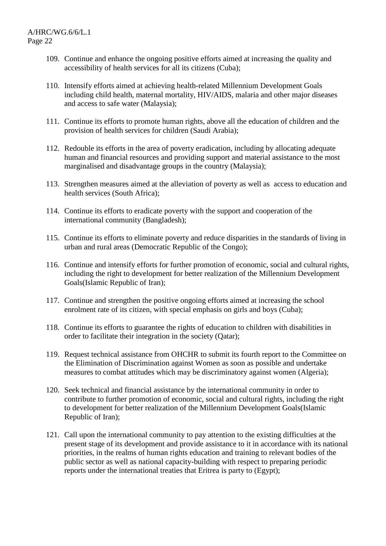- 109. Continue and enhance the ongoing positive efforts aimed at increasing the quality and accessibility of health services for all its citizens (Cuba);
- 110. Intensify efforts aimed at achieving health-related Millennium Development Goals including child health, maternal mortality, HIV/AIDS, malaria and other major diseases and access to safe water (Malaysia);
- 111. Continue its efforts to promote human rights, above all the education of children and the provision of health services for children (Saudi Arabia);
- 112. Redouble its efforts in the area of poverty eradication, including by allocating adequate human and financial resources and providing support and material assistance to the most marginalised and disadvantage groups in the country (Malaysia);
- 113. Strengthen measures aimed at the alleviation of poverty as well as access to education and health services (South Africa);
- 114. Continue its efforts to eradicate poverty with the support and cooperation of the international community (Bangladesh);
- 115. Continue its efforts to eliminate poverty and reduce disparities in the standards of living in urban and rural areas (Democratic Republic of the Congo);
- 116. Continue and intensify efforts for further promotion of economic, social and cultural rights, including the right to development for better realization of the Millennium Development Goals(Islamic Republic of Iran);
- 117. Continue and strengthen the positive ongoing efforts aimed at increasing the school enrolment rate of its citizen, with special emphasis on girls and boys (Cuba);
- 118. Continue its efforts to guarantee the rights of education to children with disabilities in order to facilitate their integration in the society (Qatar);
- 119. Request technical assistance from OHCHR to submit its fourth report to the Committee on the Elimination of Discrimination against Women as soon as possible and undertake measures to combat attitudes which may be discriminatory against women (Algeria);
- 120. Seek technical and financial assistance by the international community in order to contribute to further promotion of economic, social and cultural rights, including the right to development for better realization of the Millennium Development Goals(Islamic Republic of Iran);
- 121. Call upon the international community to pay attention to the existing difficulties at the present stage of its development and provide assistance to it in accordance with its national priorities, in the realms of human rights education and training to relevant bodies of the public sector as well as national capacity-building with respect to preparing periodic reports under the international treaties that Eritrea is party to (Egypt);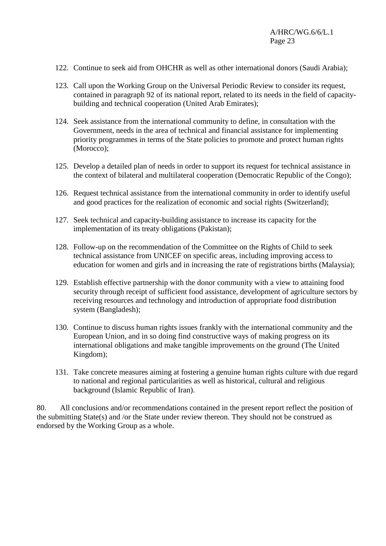- 122. Continue to seek aid from OHCHR as well as other international donors (Saudi Arabia);
- 123. Call upon the Working Group on the Universal Periodic Review to consider its request, contained in paragraph 92 of its national report, related to its needs in the field of capacitybuilding and technical cooperation (United Arab Emirates);
- 124. Seek assistance from the international community to define, in consultation with the Government, needs in the area of technical and financial assistance for implementing priority programmes in terms of the State policies to promote and protect human rights (Morocco);
- 125. Develop a detailed plan of needs in order to support its request for technical assistance in the context of bilateral and multilateral cooperation (Democratic Republic of the Congo);
- 126. Request technical assistance from the international community in order to identify useful and good practices for the realization of economic and social rights (Switzerland);
- 127. Seek technical and capacity-building assistance to increase its capacity for the implementation of its treaty obligations (Pakistan);
- 128. Follow-up on the recommendation of the Committee on the Rights of Child to seek technical assistance from UNICEF on specific areas, including improving access to education for women and girls and in increasing the rate of registrations births (Malaysia);
- 129. Establish effective partnership with the donor community with a view to attaining food security through receipt of sufficient food assistance, development of agriculture sectors by receiving resources and technology and introduction of appropriate food distribution system (Bangladesh);
- 130. Continue to discuss human rights issues frankly with the international community and the European Union, and in so doing find constructive ways of making progress on its international obligations and make tangible improvements on the ground (The United Kingdom);
- 131. Take concrete measures aiming at fostering a genuine human rights culture with due regard to national and regional particularities as well as historical, cultural and religious background (Islamic Republic of Iran).

80. All conclusions and/or recommendations contained in the present report reflect the position of the submitting State(s) and /or the State under review thereon. They should not be construed as endorsed by the Working Group as a whole.